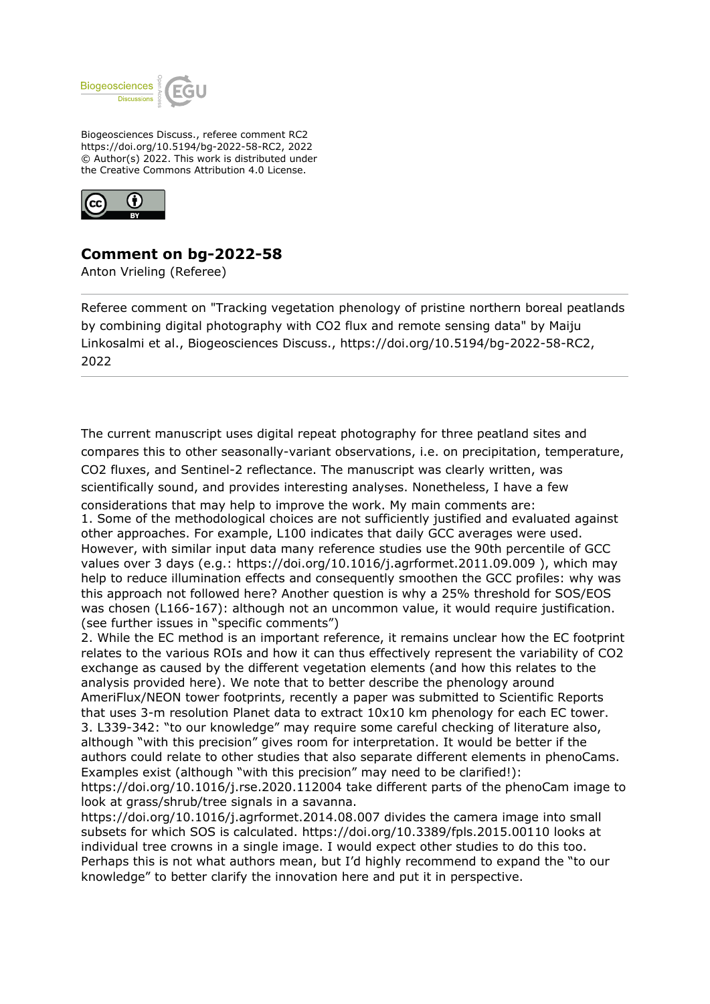

Biogeosciences Discuss., referee comment RC2 https://doi.org/10.5194/bg-2022-58-RC2, 2022 © Author(s) 2022. This work is distributed under the Creative Commons Attribution 4.0 License.



## **Comment on bg-2022-58**

Anton Vrieling (Referee)

Referee comment on "Tracking vegetation phenology of pristine northern boreal peatlands by combining digital photography with CO2 flux and remote sensing data" by Maiju Linkosalmi et al., Biogeosciences Discuss., https://doi.org/10.5194/bg-2022-58-RC2, 2022

The current manuscript uses digital repeat photography for three peatland sites and compares this to other seasonally-variant observations, i.e. on precipitation, temperature, CO2 fluxes, and Sentinel-2 reflectance. The manuscript was clearly written, was scientifically sound, and provides interesting analyses. Nonetheless, I have a few considerations that may help to improve the work. My main comments are: 1. Some of the methodological choices are not sufficiently justified and evaluated against other approaches. For example, L100 indicates that daily GCC averages were used. However, with similar input data many reference studies use the 90th percentile of GCC values over 3 days (e.g.: https://doi.org/10.1016/j.agrformet.2011.09.009 ), which may help to reduce illumination effects and consequently smoothen the GCC profiles: why was this approach not followed here? Another question is why a 25% threshold for SOS/EOS was chosen (L166-167): although not an uncommon value, it would require justification. (see further issues in "specific comments")

2. While the EC method is an important reference, it remains unclear how the EC footprint relates to the various ROIs and how it can thus effectively represent the variability of CO2 exchange as caused by the different vegetation elements (and how this relates to the analysis provided here). We note that to better describe the phenology around AmeriFlux/NEON tower footprints, recently a paper was submitted to Scientific Reports that uses 3-m resolution Planet data to extract 10x10 km phenology for each EC tower. 3. L339-342: "to our knowledge" may require some careful checking of literature also, although "with this precision" gives room for interpretation. It would be better if the authors could relate to other studies that also separate different elements in phenoCams. Examples exist (although "with this precision" may need to be clarified!):

https://doi.org/10.1016/j.rse.2020.112004 take different parts of the phenoCam image to look at grass/shrub/tree signals in a savanna.

https://doi.org/10.1016/j.agrformet.2014.08.007 divides the camera image into small subsets for which SOS is calculated. https://doi.org/10.3389/fpls.2015.00110 looks at individual tree crowns in a single image. I would expect other studies to do this too. Perhaps this is not what authors mean, but I'd highly recommend to expand the "to our knowledge" to better clarify the innovation here and put it in perspective.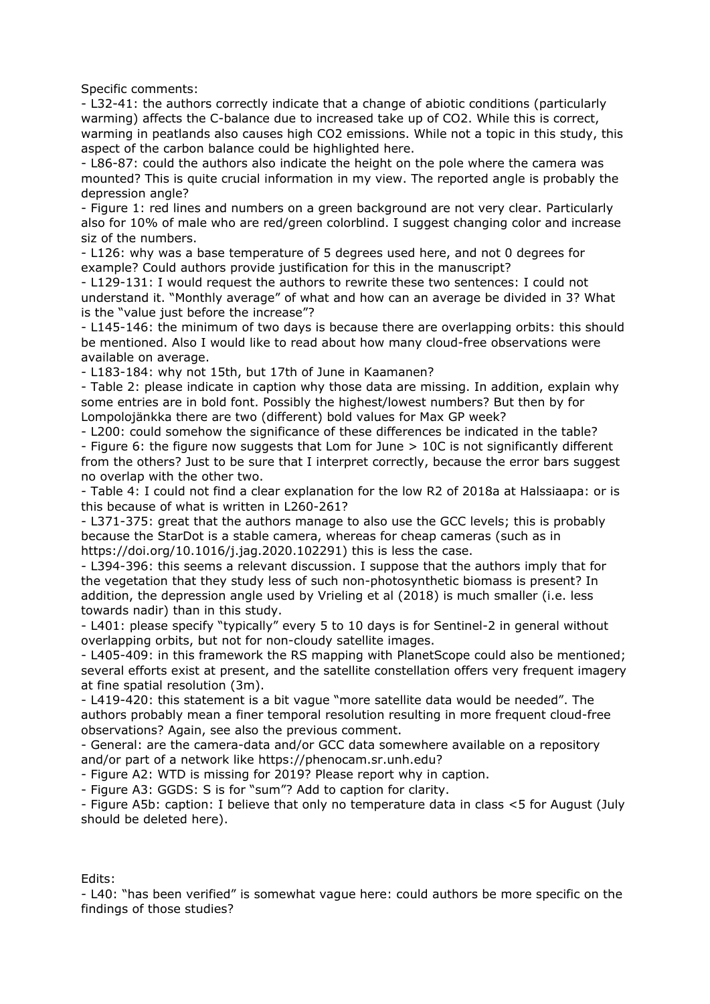Specific comments:

- L32-41: the authors correctly indicate that a change of abiotic conditions (particularly warming) affects the C-balance due to increased take up of CO2. While this is correct, warming in peatlands also causes high CO2 emissions. While not a topic in this study, this aspect of the carbon balance could be highlighted here.

- L86-87: could the authors also indicate the height on the pole where the camera was mounted? This is quite crucial information in my view. The reported angle is probably the depression angle?

- Figure 1: red lines and numbers on a green background are not very clear. Particularly also for 10% of male who are red/green colorblind. I suggest changing color and increase siz of the numbers.

- L126: why was a base temperature of 5 degrees used here, and not 0 degrees for example? Could authors provide justification for this in the manuscript?

- L129-131: I would request the authors to rewrite these two sentences: I could not understand it. "Monthly average" of what and how can an average be divided in 3? What is the "value just before the increase"?

- L145-146: the minimum of two days is because there are overlapping orbits: this should be mentioned. Also I would like to read about how many cloud-free observations were available on average.

- L183-184: why not 15th, but 17th of June in Kaamanen?

- Table 2: please indicate in caption why those data are missing. In addition, explain why some entries are in bold font. Possibly the highest/lowest numbers? But then by for Lompolojänkka there are two (different) bold values for Max GP week?

- L200: could somehow the significance of these differences be indicated in the table? - Figure 6: the figure now suggests that Lom for June > 10C is not significantly different from the others? Just to be sure that I interpret correctly, because the error bars suggest no overlap with the other two.

- Table 4: I could not find a clear explanation for the low R2 of 2018a at Halssiaapa: or is this because of what is written in L260-261?

- L371-375: great that the authors manage to also use the GCC levels; this is probably because the StarDot is a stable camera, whereas for cheap cameras (such as in https://doi.org/10.1016/j.jag.2020.102291) this is less the case.

- L394-396: this seems a relevant discussion. I suppose that the authors imply that for the vegetation that they study less of such non-photosynthetic biomass is present? In addition, the depression angle used by Vrieling et al (2018) is much smaller (i.e. less towards nadir) than in this study.

- L401: please specify "typically" every 5 to 10 days is for Sentinel-2 in general without overlapping orbits, but not for non-cloudy satellite images.

- L405-409: in this framework the RS mapping with PlanetScope could also be mentioned; several efforts exist at present, and the satellite constellation offers very frequent imagery at fine spatial resolution (3m).

- L419-420: this statement is a bit vague "more satellite data would be needed". The authors probably mean a finer temporal resolution resulting in more frequent cloud-free observations? Again, see also the previous comment.

- General: are the camera-data and/or GCC data somewhere available on a repository and/or part of a network like https://phenocam.sr.unh.edu?

- Figure A2: WTD is missing for 2019? Please report why in caption.

- Figure A3: GGDS: S is for "sum"? Add to caption for clarity.

- Figure A5b: caption: I believe that only no temperature data in class <5 for August (July should be deleted here).

## Edits:

- L40: "has been verified" is somewhat vague here: could authors be more specific on the findings of those studies?